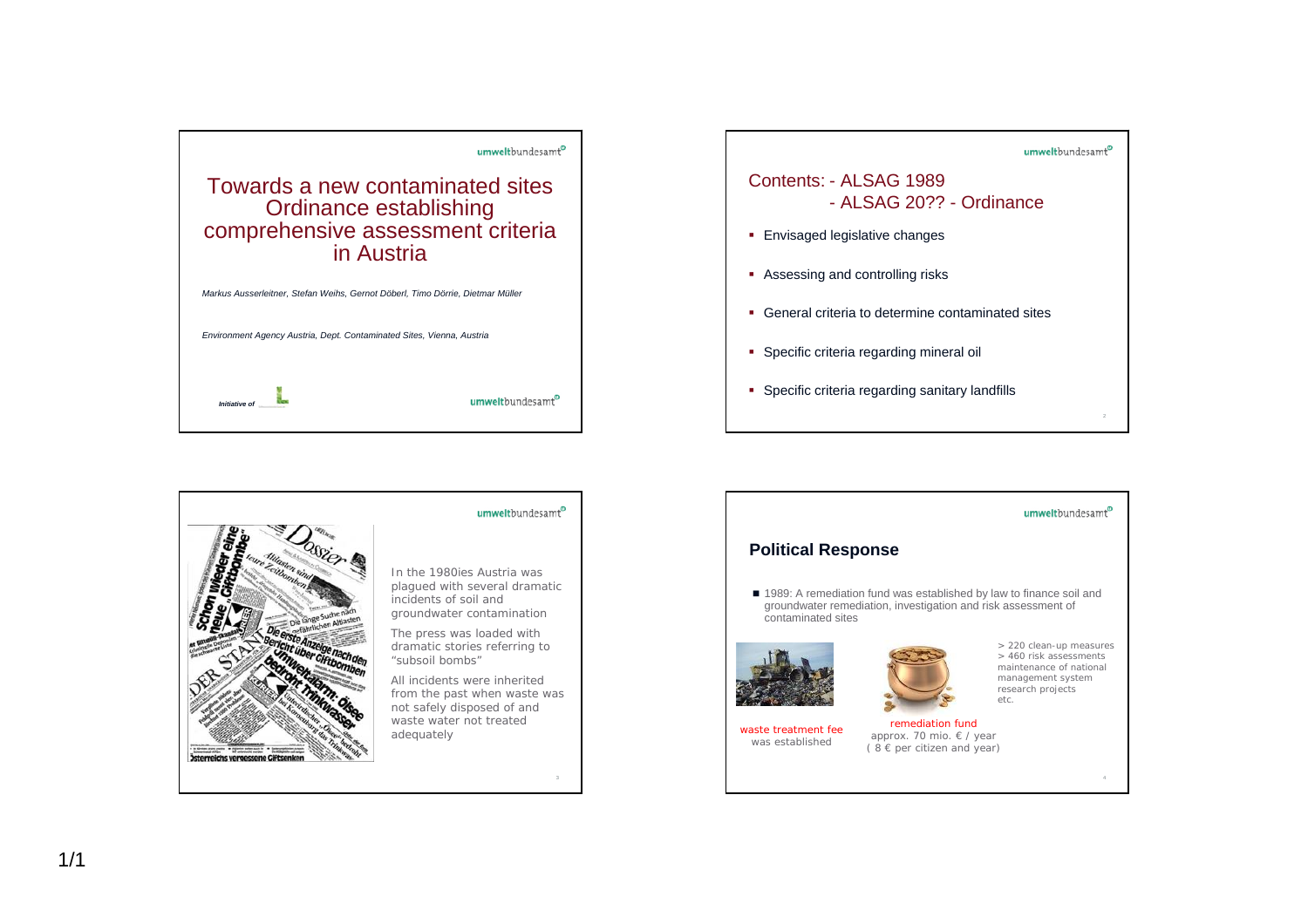





## umweltbundesamt<sup>o</sup> **Political Response** ■ 1989: A remediation fund was established by law to finance soil and groundwater remediation, investigation and risk assessment of contaminated sites> 220 clean-up measures > 460 risk assessments maintenance of national management system research projects etc.remediation fundwaste treatment fee approx. 70 mio. € / year was established $(8 \in$  per citizen and year)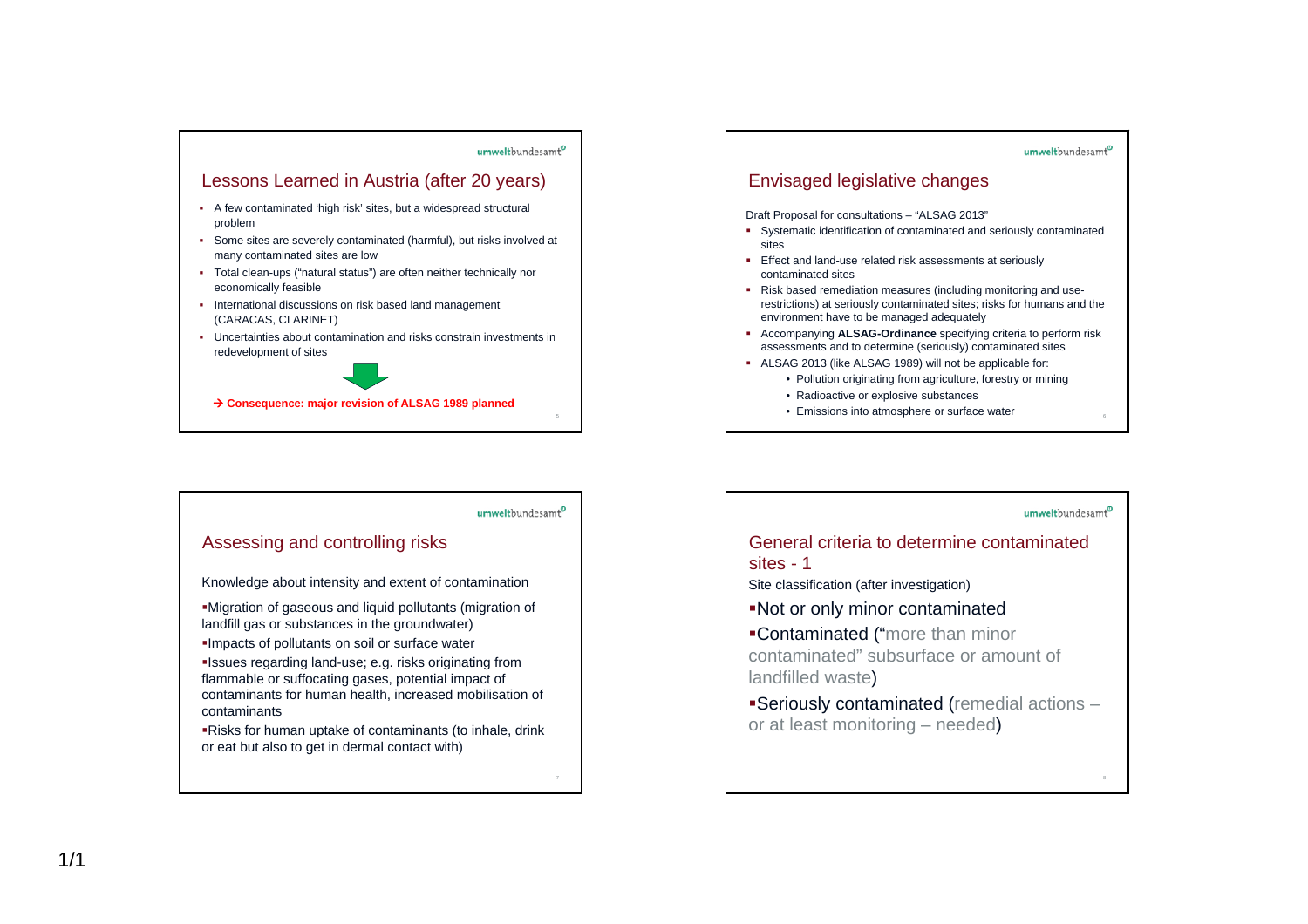

## umweltbundesamt<sup>o</sup> Assessing and controlling risks Knowledge about intensity and extent of contamination Migration of gaseous and liquid pollutants (migration of landfill gas or substances in the groundwater) Impacts of pollutants on soil or surface water Issues regarding land-use; e.g. risks originating from flammable or suffocating gases, potential impact of contaminants for human health, increased mobilisation of contaminants

Risks for human uptake of contaminants (to inhale, drink or eat but also to get in dermal contact with)



## umweltbundesamt<sup>o</sup>

## General criteria to determine contaminated sites - 1

Site classification (after investigation)

Not or only minor contaminated

Contaminated ("more than minor contaminated" subsurface or amount of landfilled waste)

Seriously contaminated (remedial actions – or at least monitoring – needed)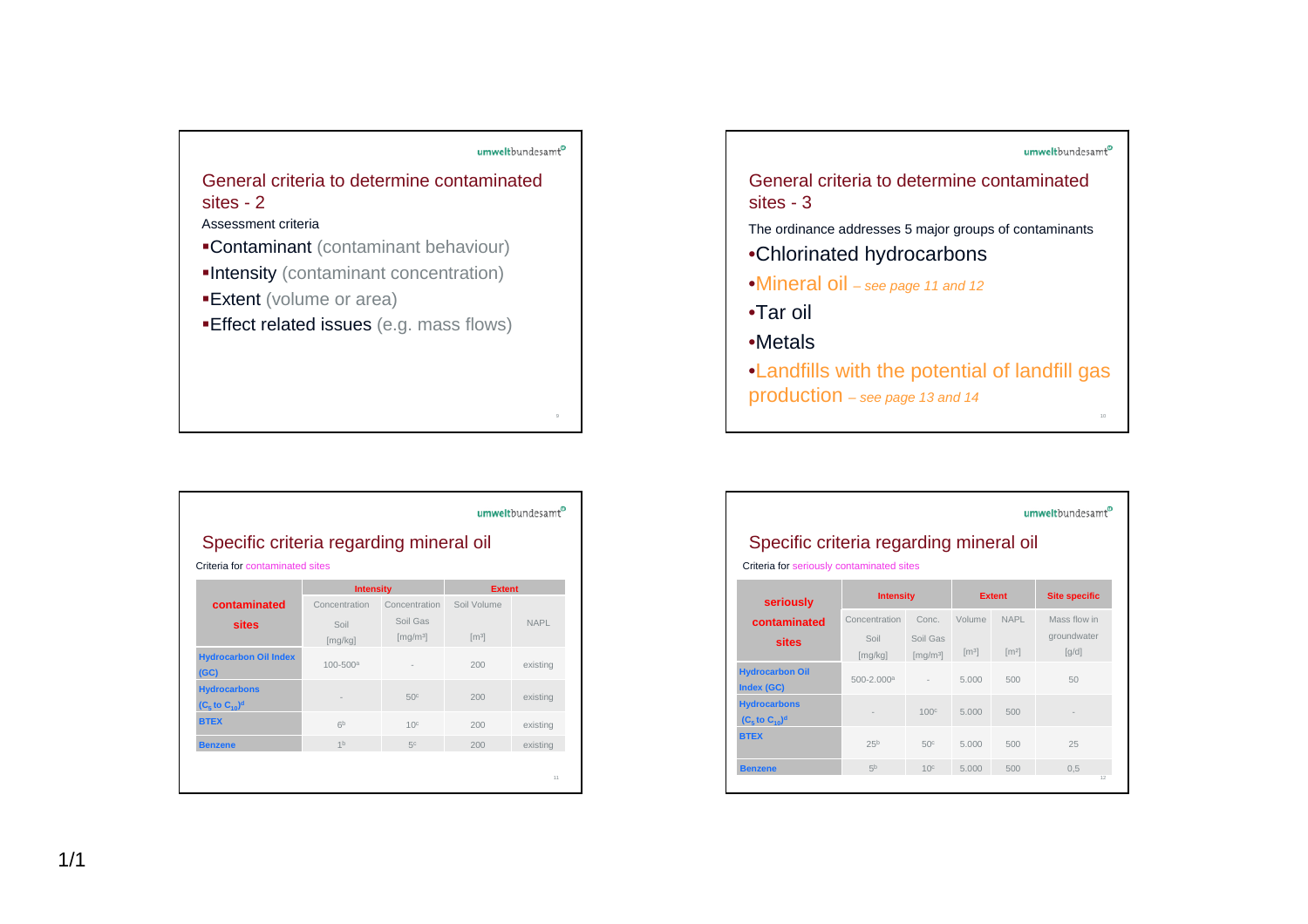

| Specific criteria regarding mineral oil            |                  |                                  |                     |             |
|----------------------------------------------------|------------------|----------------------------------|---------------------|-------------|
| Criteria for contaminated sites                    | <b>Intensity</b> |                                  | <b>Extent</b>       |             |
| contaminated                                       | Concentration    | Concentration                    | Soil Volume         |             |
| sites                                              | Soil<br>[mg/kg]  | Soil Gas<br>[mg/m <sup>3</sup> ] | $\lceil m^3 \rceil$ | <b>NAPL</b> |
| <b>Hydrocarbon Oil Index</b><br>(GC)               | $100 - 500a$     |                                  | 200                 | existing    |
| <b>Hydrocarbons</b><br>$(C5$ to $C10$ <sup>d</sup> |                  | 50 <sup>c</sup>                  | 200                 | existing    |
| <b>BTEX</b>                                        | 6 <sup>b</sup>   | 10 <sup>c</sup>                  | 200                 | existing    |
| <b>Benzene</b>                                     | 1 <sub>b</sub>   | 5c                               | 200                 | existing    |



| umweltbundesamt<br>Specific criteria regarding mineral oil<br>Criteria for seriously contaminated sites |                                  |                                                    |                               |                                    |                                                    |  |  |
|---------------------------------------------------------------------------------------------------------|----------------------------------|----------------------------------------------------|-------------------------------|------------------------------------|----------------------------------------------------|--|--|
| seriously                                                                                               | <b>Intensity</b>                 |                                                    |                               | <b>Extent</b>                      | <b>Site specific</b>                               |  |  |
| contaminated<br>sites                                                                                   | Concentration<br>Soil<br>[mg/kg] | Conc.<br>Soil Gas<br>$\left[\frac{mq}{m^3}\right]$ | Volume<br>$\lceil m^3 \rceil$ | <b>NAPL</b><br>$\lceil m^2 \rceil$ | Mass flow in<br>groundwater<br>$\lceil q/d \rceil$ |  |  |
| <b>Hydrocarbon Oil</b><br>Index (GC)                                                                    | $500 - 2.000a$                   |                                                    | 5.000                         | 500                                | 50                                                 |  |  |
| <b>Hydrocarbons</b><br>$(C5$ to $C10$ <sup>d</sup>                                                      |                                  | 100 <sup>c</sup>                                   | 5.000                         | 500                                |                                                    |  |  |
| <b>BTEX</b>                                                                                             | 25 <sup>b</sup>                  | 50 <sup>c</sup>                                    | 5.000                         | 500                                | 25                                                 |  |  |

5<sup>b</sup> 10c 5.000 500 0,5

**BTEX**

**Benzene**